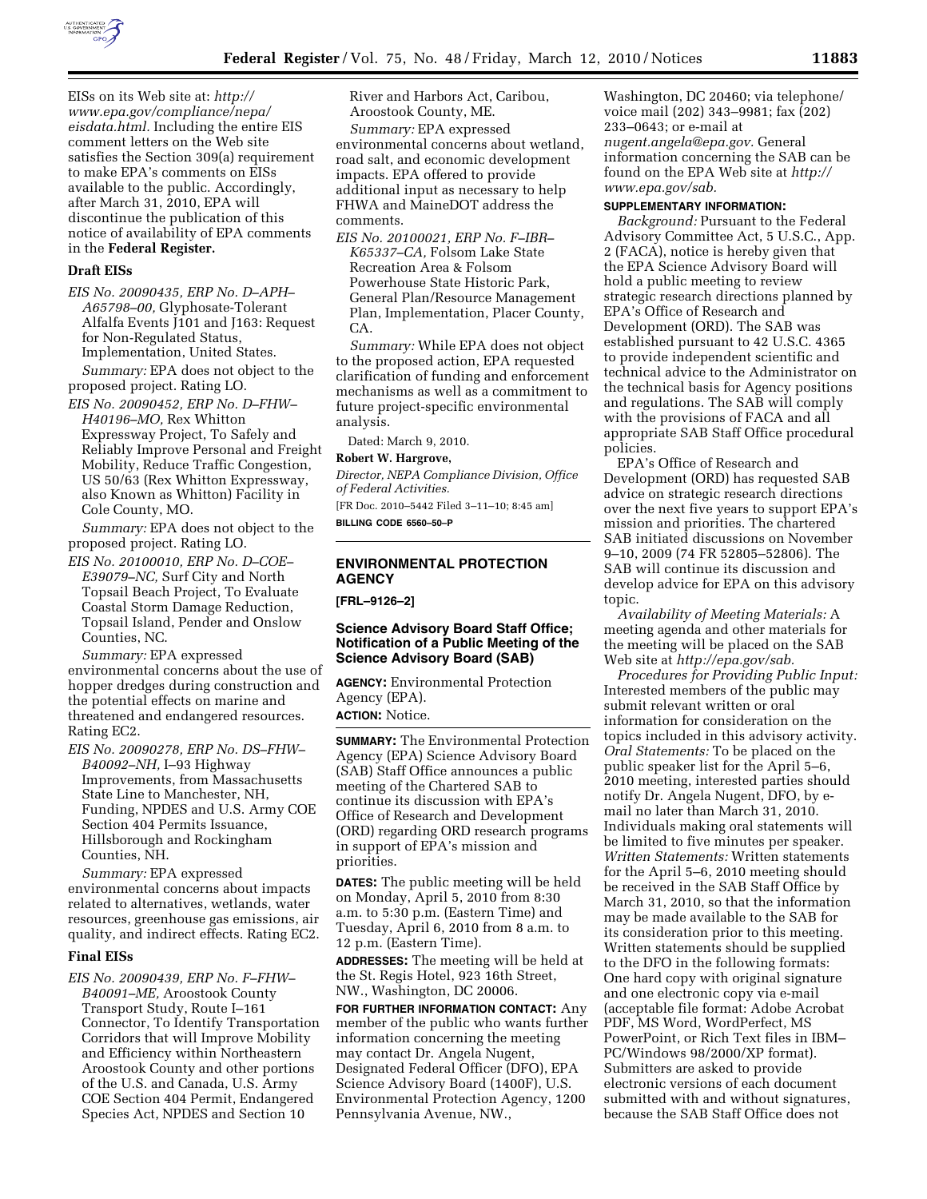

EISs on its Web site at: *http:// www.epa.gov/compliance/nepa/ eisdata.html.* Including the entire EIS comment letters on the Web site satisfies the Section 309(a) requirement to make EPA's comments on EISs available to the public. Accordingly, after March 31, 2010, EPA will discontinue the publication of this notice of availability of EPA comments in the **Federal Register.** 

#### **Draft EISs**

*EIS No. 20090435, ERP No. D–APH– A65798–00,* Glyphosate-Tolerant Alfalfa Events J101 and J163: Request for Non-Regulated Status, Implementation, United States.

*Summary:* EPA does not object to the proposed project. Rating LO.

*EIS No. 20090452, ERP No. D–FHW– H40196–MO,* Rex Whitton Expressway Project, To Safely and Reliably Improve Personal and Freight Mobility, Reduce Traffic Congestion, US 50/63 (Rex Whitton Expressway, also Known as Whitton) Facility in Cole County, MO.

*Summary:* EPA does not object to the proposed project. Rating LO.

*EIS No. 20100010, ERP No. D–COE– E39079–NC,* Surf City and North Topsail Beach Project, To Evaluate Coastal Storm Damage Reduction, Topsail Island, Pender and Onslow Counties, NC.

*Summary:* EPA expressed environmental concerns about the use of hopper dredges during construction and the potential effects on marine and threatened and endangered resources. Rating EC2.

*EIS No. 20090278, ERP No. DS–FHW– B40092–NH,* I–93 Highway Improvements, from Massachusetts State Line to Manchester, NH, Funding, NPDES and U.S. Army COE Section 404 Permits Issuance, Hillsborough and Rockingham Counties, NH.

*Summary:* EPA expressed environmental concerns about impacts related to alternatives, wetlands, water resources, greenhouse gas emissions, air quality, and indirect effects. Rating EC2.

#### **Final EISs**

*EIS No. 20090439, ERP No. F–FHW– B40091–ME,* Aroostook County Transport Study, Route I–161 Connector, To Identify Transportation Corridors that will Improve Mobility and Efficiency within Northeastern Aroostook County and other portions of the U.S. and Canada, U.S. Army COE Section 404 Permit, Endangered Species Act, NPDES and Section 10

River and Harbors Act, Caribou, Aroostook County, ME. *Summary:* EPA expressed environmental concerns about wetland, road salt, and economic development impacts. EPA offered to provide additional input as necessary to help FHWA and MaineDOT address the comments.

*EIS No. 20100021, ERP No. F–IBR– K65337–CA,* Folsom Lake State Recreation Area & Folsom Powerhouse State Historic Park, General Plan/Resource Management Plan, Implementation, Placer County, CA.

*Summary:* While EPA does not object to the proposed action, EPA requested clarification of funding and enforcement mechanisms as well as a commitment to future project-specific environmental analysis.

Dated: March 9, 2010.

## **Robert W. Hargrove,**

*Director, NEPA Compliance Division, Office of Federal Activities.* 

[FR Doc. 2010–5442 Filed 3–11–10; 8:45 am] **BILLING CODE 6560–50–P** 

# **ENVIRONMENTAL PROTECTION AGENCY**

**[FRL–9126–2]** 

## **Science Advisory Board Staff Office; Notification of a Public Meeting of the Science Advisory Board (SAB)**

**AGENCY:** Environmental Protection Agency (EPA).

**ACTION:** Notice.

**SUMMARY:** The Environmental Protection Agency (EPA) Science Advisory Board (SAB) Staff Office announces a public meeting of the Chartered SAB to continue its discussion with EPA's Office of Research and Development (ORD) regarding ORD research programs in support of EPA's mission and priorities.

**DATES:** The public meeting will be held on Monday, April 5, 2010 from 8:30 a.m. to 5:30 p.m. (Eastern Time) and Tuesday, April 6, 2010 from 8 a.m. to 12 p.m. (Eastern Time).

**ADDRESSES:** The meeting will be held at the St. Regis Hotel, 923 16th Street, NW., Washington, DC 20006.

**FOR FURTHER INFORMATION CONTACT:** Any member of the public who wants further information concerning the meeting may contact Dr. Angela Nugent, Designated Federal Officer (DFO), EPA Science Advisory Board (1400F), U.S. Environmental Protection Agency, 1200 Pennsylvania Avenue, NW.,

Washington, DC 20460; via telephone/ voice mail (202) 343–9981; fax (202) 233–0643; or e-mail at *nugent.angela@epa.gov.* General information concerning the SAB can be found on the EPA Web site at *http:// www.epa.gov/sab.* 

## **SUPPLEMENTARY INFORMATION:**

*Background:* Pursuant to the Federal Advisory Committee Act, 5 U.S.C., App. 2 (FACA), notice is hereby given that the EPA Science Advisory Board will hold a public meeting to review strategic research directions planned by EPA's Office of Research and Development (ORD). The SAB was established pursuant to 42 U.S.C. 4365 to provide independent scientific and technical advice to the Administrator on the technical basis for Agency positions and regulations. The SAB will comply with the provisions of FACA and all appropriate SAB Staff Office procedural policies.

EPA's Office of Research and Development (ORD) has requested SAB advice on strategic research directions over the next five years to support EPA's mission and priorities. The chartered SAB initiated discussions on November 9–10, 2009 (74 FR 52805–52806). The SAB will continue its discussion and develop advice for EPA on this advisory topic.

*Availability of Meeting Materials:* A meeting agenda and other materials for the meeting will be placed on the SAB Web site at *http://epa.gov/sab.* 

*Procedures for Providing Public Input:*  Interested members of the public may submit relevant written or oral information for consideration on the topics included in this advisory activity. *Oral Statements:* To be placed on the public speaker list for the April 5–6, 2010 meeting, interested parties should notify Dr. Angela Nugent, DFO, by email no later than March 31, 2010. Individuals making oral statements will be limited to five minutes per speaker. *Written Statements:* Written statements for the April 5–6, 2010 meeting should be received in the SAB Staff Office by March 31, 2010, so that the information may be made available to the SAB for its consideration prior to this meeting. Written statements should be supplied to the DFO in the following formats: One hard copy with original signature and one electronic copy via e-mail (acceptable file format: Adobe Acrobat PDF, MS Word, WordPerfect, MS PowerPoint, or Rich Text files in IBM– PC/Windows 98/2000/XP format). Submitters are asked to provide electronic versions of each document submitted with and without signatures, because the SAB Staff Office does not